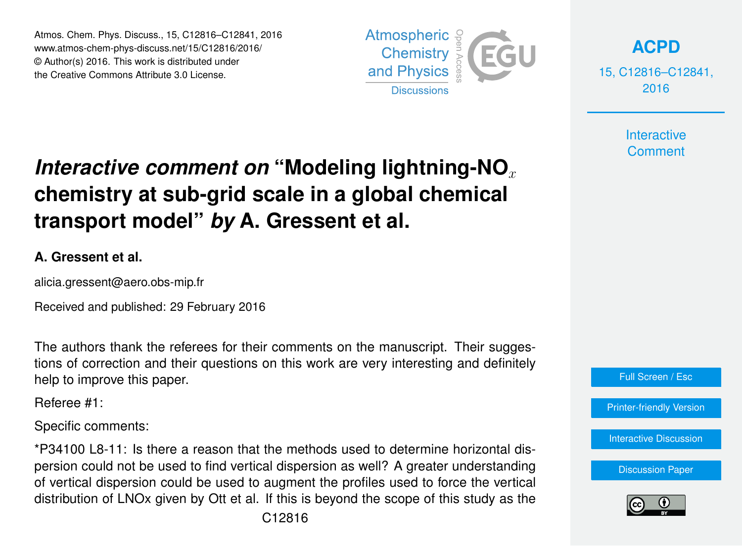Atmos. Chem. Phys. Discuss., 15, C12816–C12841, 2016 www.atmos-chem-phys-discuss.net/15/C12816/2016/ © Author(s) 2016. This work is distributed under the Creative Commons Attribute 3.0 License.



**[ACPD](http://www.atmos-chem-phys-discuss.net)**

15, C12816–C12841, 2016

> **Interactive Comment**

# *Interactive comment on* "Modeling lightning-NO<sub>x</sub> **chemistry at sub-grid scale in a global chemical transport model"** *by* **A. Gressent et al.**

#### **A. Gressent et al.**

alicia.gressent@aero.obs-mip.fr

Received and published: 29 February 2016

The authors thank the referees for their comments on the manuscript. Their suggestions of correction and their questions on this work are very interesting and definitely help to improve this paper.

Referee #1:

Specific comments:

\*P34100 L8-11: Is there a reason that the methods used to determine horizontal dispersion could not be used to find vertical dispersion as well? A greater understanding of vertical dispersion could be used to augment the profiles used to force the vertical distribution of LNOx given by Ott et al. If this is beyond the scope of this study as the

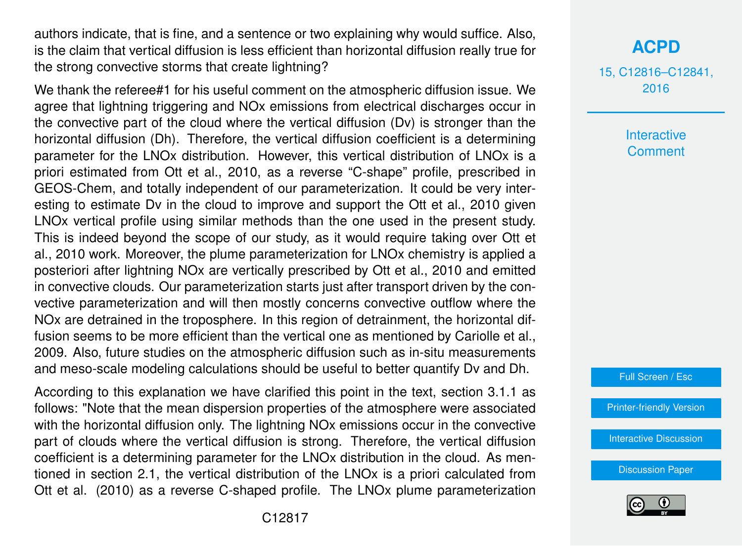authors indicate, that is fine, and a sentence or two explaining why would suffice. Also, is the claim that vertical diffusion is less efficient than horizontal diffusion really true for the strong convective storms that create lightning?

We thank the referee#1 for his useful comment on the atmospheric diffusion issue. We agree that lightning triggering and NOx emissions from electrical discharges occur in the convective part of the cloud where the vertical diffusion (Dv) is stronger than the horizontal diffusion (Dh). Therefore, the vertical diffusion coefficient is a determining parameter for the LNOx distribution. However, this vertical distribution of LNOx is a priori estimated from Ott et al., 2010, as a reverse "C-shape" profile, prescribed in GEOS-Chem, and totally independent of our parameterization. It could be very interesting to estimate Dv in the cloud to improve and support the Ott et al., 2010 given LNOx vertical profile using similar methods than the one used in the present study. This is indeed beyond the scope of our study, as it would require taking over Ott et al., 2010 work. Moreover, the plume parameterization for LNOx chemistry is applied a posteriori after lightning NOx are vertically prescribed by Ott et al., 2010 and emitted in convective clouds. Our parameterization starts just after transport driven by the convective parameterization and will then mostly concerns convective outflow where the NOx are detrained in the troposphere. In this region of detrainment, the horizontal diffusion seems to be more efficient than the vertical one as mentioned by Cariolle et al., 2009. Also, future studies on the atmospheric diffusion such as in-situ measurements and meso-scale modeling calculations should be useful to better quantify Dv and Dh.

According to this explanation we have clarified this point in the text, section 3.1.1 as follows: "Note that the mean dispersion properties of the atmosphere were associated with the horizontal diffusion only. The lightning NO<sub>x</sub> emissions occur in the convective part of clouds where the vertical diffusion is strong. Therefore, the vertical diffusion coefficient is a determining parameter for the LNOx distribution in the cloud. As mentioned in section 2.1, the vertical distribution of the LNOx is a priori calculated from Ott et al. (2010) as a reverse C-shaped profile. The LNOx plume parameterization **[ACPD](http://www.atmos-chem-phys-discuss.net)**

15, C12816–C12841, 2016

> **Interactive Comment**



[Printer-friendly Version](http://www.atmos-chem-phys-discuss.net/15/C12816/2016/acpd-15-C12816-2016-print.pdf)

[Interactive Discussion](http://www.atmos-chem-phys-discuss.net/15/34091/2015/acpd-15-34091-2015-discussion.html)

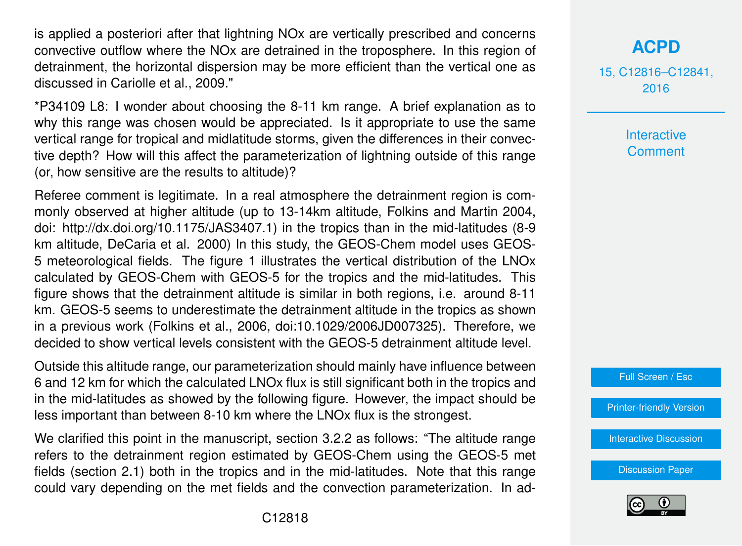is applied a posteriori after that lightning NOx are vertically prescribed and concerns convective outflow where the NOx are detrained in the troposphere. In this region of detrainment, the horizontal dispersion may be more efficient than the vertical one as discussed in Cariolle et al., 2009."

\*P34109 L8: I wonder about choosing the 8-11 km range. A brief explanation as to why this range was chosen would be appreciated. Is it appropriate to use the same vertical range for tropical and midlatitude storms, given the differences in their convective depth? How will this affect the parameterization of lightning outside of this range (or, how sensitive are the results to altitude)?

Referee comment is legitimate. In a real atmosphere the detrainment region is commonly observed at higher altitude (up to 13-14km altitude, Folkins and Martin 2004, doi: http://dx.doi.org/10.1175/JAS3407.1) in the tropics than in the mid-latitudes (8-9 km altitude, DeCaria et al. 2000) In this study, the GEOS-Chem model uses GEOS-5 meteorological fields. The figure 1 illustrates the vertical distribution of the LNOx calculated by GEOS-Chem with GEOS-5 for the tropics and the mid-latitudes. This figure shows that the detrainment altitude is similar in both regions, i.e. around 8-11 km. GEOS-5 seems to underestimate the detrainment altitude in the tropics as shown in a previous work (Folkins et al., 2006, doi:10.1029/2006JD007325). Therefore, we decided to show vertical levels consistent with the GEOS-5 detrainment altitude level.

Outside this altitude range, our parameterization should mainly have influence between 6 and 12 km for which the calculated LNOx flux is still significant both in the tropics and in the mid-latitudes as showed by the following figure. However, the impact should be less important than between 8-10 km where the LNOx flux is the strongest.

We clarified this point in the manuscript, section 3.2.2 as follows: "The altitude range refers to the detrainment region estimated by GEOS-Chem using the GEOS-5 met fields (section 2.1) both in the tropics and in the mid-latitudes. Note that this range could vary depending on the met fields and the convection parameterization. In ad-

#### **[ACPD](http://www.atmos-chem-phys-discuss.net)**

15, C12816–C12841, 2016

> **Interactive Comment**



[Printer-friendly Version](http://www.atmos-chem-phys-discuss.net/15/C12816/2016/acpd-15-C12816-2016-print.pdf)

[Interactive Discussion](http://www.atmos-chem-phys-discuss.net/15/34091/2015/acpd-15-34091-2015-discussion.html)

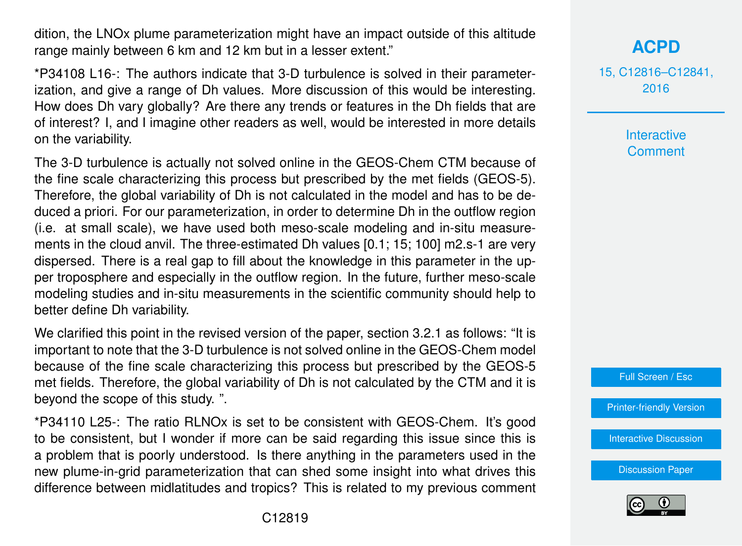dition, the LNOx plume parameterization might have an impact outside of this altitude range mainly between 6 km and 12 km but in a lesser extent."

\*P34108 L16-: The authors indicate that 3-D turbulence is solved in their parameterization, and give a range of Dh values. More discussion of this would be interesting. How does Dh vary globally? Are there any trends or features in the Dh fields that are of interest? I, and I imagine other readers as well, would be interested in more details on the variability.

The 3-D turbulence is actually not solved online in the GEOS-Chem CTM because of the fine scale characterizing this process but prescribed by the met fields (GEOS-5). Therefore, the global variability of Dh is not calculated in the model and has to be deduced a priori. For our parameterization, in order to determine Dh in the outflow region (i.e. at small scale), we have used both meso-scale modeling and in-situ measurements in the cloud anvil. The three-estimated Dh values [0.1; 15; 100] m2.s-1 are very dispersed. There is a real gap to fill about the knowledge in this parameter in the upper troposphere and especially in the outflow region. In the future, further meso-scale modeling studies and in-situ measurements in the scientific community should help to better define Dh variability.

We clarified this point in the revised version of the paper, section 3.2.1 as follows: "It is important to note that the 3-D turbulence is not solved online in the GEOS-Chem model because of the fine scale characterizing this process but prescribed by the GEOS-5 met fields. Therefore, the global variability of Dh is not calculated by the CTM and it is beyond the scope of this study. ".

\*P34110 L25-: The ratio RLNOx is set to be consistent with GEOS-Chem. It's good to be consistent, but I wonder if more can be said regarding this issue since this is a problem that is poorly understood. Is there anything in the parameters used in the new plume-in-grid parameterization that can shed some insight into what drives this difference between midlatitudes and tropics? This is related to my previous comment

### **[ACPD](http://www.atmos-chem-phys-discuss.net)**

15, C12816–C12841, 2016

> Interactive **Comment**

Full Screen / Esc

[Printer-friendly Version](http://www.atmos-chem-phys-discuss.net/15/C12816/2016/acpd-15-C12816-2016-print.pdf)

[Interactive Discussion](http://www.atmos-chem-phys-discuss.net/15/34091/2015/acpd-15-34091-2015-discussion.html)

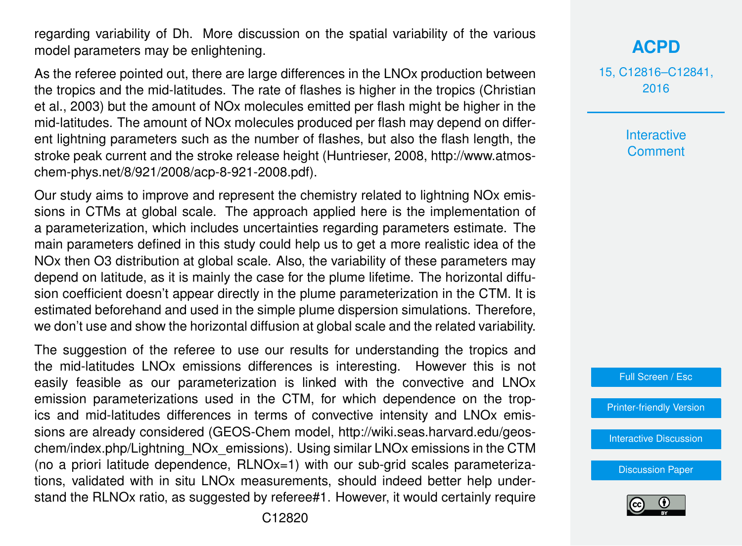regarding variability of Dh. More discussion on the spatial variability of the various model parameters may be enlightening.

As the referee pointed out, there are large differences in the LNOx production between the tropics and the mid-latitudes. The rate of flashes is higher in the tropics (Christian et al., 2003) but the amount of NOx molecules emitted per flash might be higher in the mid-latitudes. The amount of NOx molecules produced per flash may depend on different lightning parameters such as the number of flashes, but also the flash length, the stroke peak current and the stroke release height (Huntrieser, 2008, http://www.atmoschem-phys.net/8/921/2008/acp-8-921-2008.pdf).

Our study aims to improve and represent the chemistry related to lightning NOx emissions in CTMs at global scale. The approach applied here is the implementation of a parameterization, which includes uncertainties regarding parameters estimate. The main parameters defined in this study could help us to get a more realistic idea of the NOx then O3 distribution at global scale. Also, the variability of these parameters may depend on latitude, as it is mainly the case for the plume lifetime. The horizontal diffusion coefficient doesn't appear directly in the plume parameterization in the CTM. It is estimated beforehand and used in the simple plume dispersion simulations. Therefore, we don't use and show the horizontal diffusion at global scale and the related variability.

The suggestion of the referee to use our results for understanding the tropics and the mid-latitudes LNOx emissions differences is interesting. However this is not easily feasible as our parameterization is linked with the convective and LNOx emission parameterizations used in the CTM, for which dependence on the tropics and mid-latitudes differences in terms of convective intensity and LNOx emissions are already considered (GEOS-Chem model, http://wiki.seas.harvard.edu/geoschem/index.php/Lightning\_NOx\_emissions). Using similar LNOx emissions in the CTM (no a priori latitude dependence, RLNOx=1) with our sub-grid scales parameterizations, validated with in situ LNOx measurements, should indeed better help understand the RLNOx ratio, as suggested by referee#1. However, it would certainly require

**[ACPD](http://www.atmos-chem-phys-discuss.net)**

15, C12816–C12841, 2016

> **Interactive Comment**



[Printer-friendly Version](http://www.atmos-chem-phys-discuss.net/15/C12816/2016/acpd-15-C12816-2016-print.pdf)

[Interactive Discussion](http://www.atmos-chem-phys-discuss.net/15/34091/2015/acpd-15-34091-2015-discussion.html)

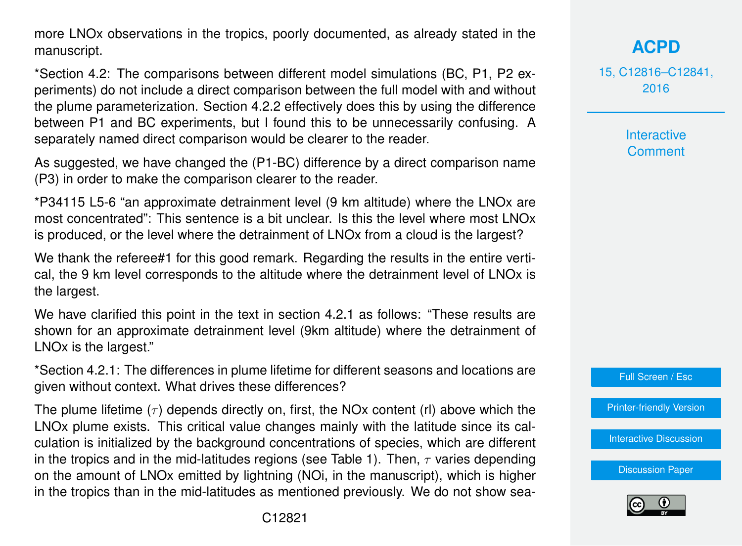more LNOx observations in the tropics, poorly documented, as already stated in the manuscript.

\*Section 4.2: The comparisons between different model simulations (BC, P1, P2 experiments) do not include a direct comparison between the full model with and without the plume parameterization. Section 4.2.2 effectively does this by using the difference between P1 and BC experiments, but I found this to be unnecessarily confusing. A separately named direct comparison would be clearer to the reader.

As suggested, we have changed the (P1-BC) difference by a direct comparison name (P3) in order to make the comparison clearer to the reader.

\*P34115 L5-6 "an approximate detrainment level (9 km altitude) where the LNOx are most concentrated": This sentence is a bit unclear. Is this the level where most LNOx is produced, or the level where the detrainment of LNOx from a cloud is the largest?

We thank the referee#1 for this good remark. Regarding the results in the entire vertical, the 9 km level corresponds to the altitude where the detrainment level of LNOx is the largest.

We have clarified this point in the text in section 4.2.1 as follows: "These results are shown for an approximate detrainment level (9km altitude) where the detrainment of LNOx is the largest."

\*Section 4.2.1: The differences in plume lifetime for different seasons and locations are given without context. What drives these differences?

The plume lifetime  $(\tau)$  depends directly on, first, the NOx content (rl) above which the LNOx plume exists. This critical value changes mainly with the latitude since its calculation is initialized by the background concentrations of species, which are different in the tropics and in the mid-latitudes regions (see Table 1). Then,  $\tau$  varies depending on the amount of LNOx emitted by lightning (NOi, in the manuscript), which is higher in the tropics than in the mid-latitudes as mentioned previously. We do not show sea15, C12816–C12841, 2016

> Interactive **Comment**

Full Screen / Esc

[Printer-friendly Version](http://www.atmos-chem-phys-discuss.net/15/C12816/2016/acpd-15-C12816-2016-print.pdf)

[Interactive Discussion](http://www.atmos-chem-phys-discuss.net/15/34091/2015/acpd-15-34091-2015-discussion.html)

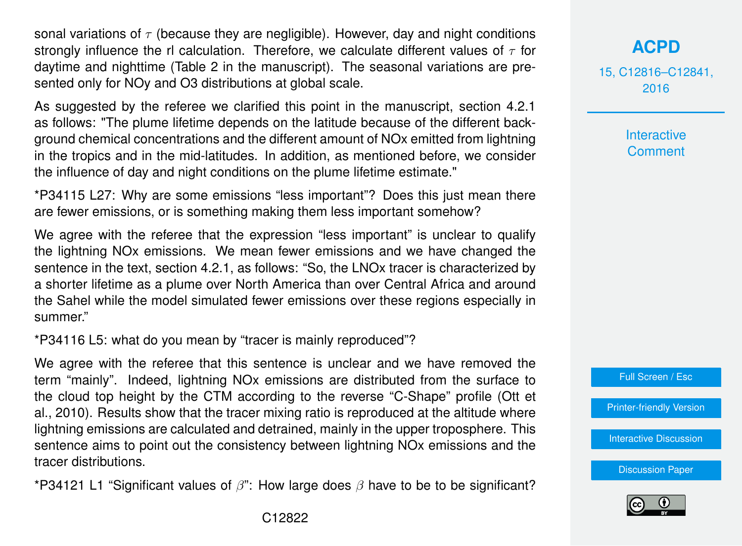sonal variations of  $\tau$  (because they are negligible). However, day and night conditions strongly influence the rl calculation. Therefore, we calculate different values of  $\tau$  for daytime and nighttime (Table 2 in the manuscript). The seasonal variations are presented only for NOy and O3 distributions at global scale.

As suggested by the referee we clarified this point in the manuscript, section 4.2.1 as follows: "The plume lifetime depends on the latitude because of the different background chemical concentrations and the different amount of NOx emitted from lightning in the tropics and in the mid-latitudes. In addition, as mentioned before, we consider the influence of day and night conditions on the plume lifetime estimate."

\*P34115 L27: Why are some emissions "less important"? Does this just mean there are fewer emissions, or is something making them less important somehow?

We agree with the referee that the expression "less important" is unclear to qualify the lightning NOx emissions. We mean fewer emissions and we have changed the sentence in the text, section 4.2.1, as follows: "So, the LNOx tracer is characterized by a shorter lifetime as a plume over North America than over Central Africa and around the Sahel while the model simulated fewer emissions over these regions especially in summer."

\*P34116 L5: what do you mean by "tracer is mainly reproduced"?

We agree with the referee that this sentence is unclear and we have removed the term "mainly". Indeed, lightning NOx emissions are distributed from the surface to the cloud top height by the CTM according to the reverse "C-Shape" profile (Ott et al., 2010). Results show that the tracer mixing ratio is reproduced at the altitude where lightning emissions are calculated and detrained, mainly in the upper troposphere. This sentence aims to point out the consistency between lightning NOx emissions and the tracer distributions.

\*P34121 L1 "Significant values of  $\beta$ ": How large does  $\beta$  have to be to be significant?

#### **[ACPD](http://www.atmos-chem-phys-discuss.net)**

15, C12816–C12841, 2016

> **Interactive Comment**



[Printer-friendly Version](http://www.atmos-chem-phys-discuss.net/15/C12816/2016/acpd-15-C12816-2016-print.pdf)

[Interactive Discussion](http://www.atmos-chem-phys-discuss.net/15/34091/2015/acpd-15-34091-2015-discussion.html)

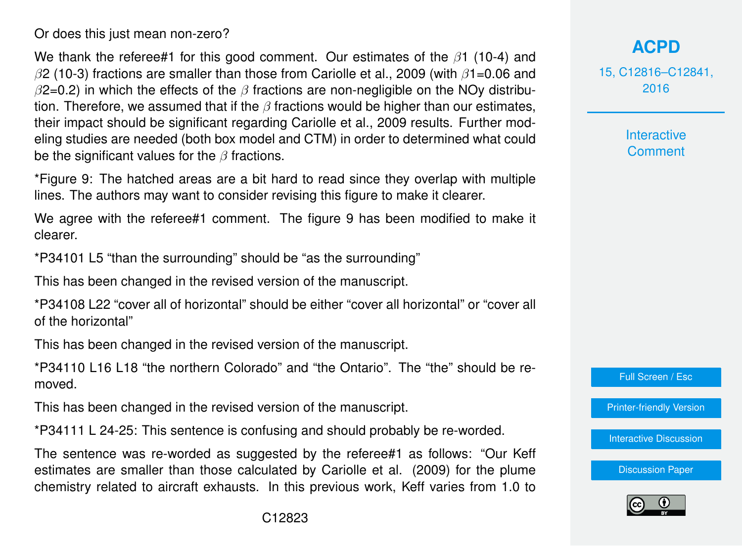Or does this just mean non-zero?

We thank the referee#1 for this good comment. Our estimates of the  $\beta$ 1 (10-4) and  $\beta$ 2 (10-3) fractions are smaller than those from Cariolle et al., 2009 (with  $\beta$ 1=0.06 and  $\beta$ 2=0.2) in which the effects of the  $\beta$  fractions are non-negligible on the NOy distribution. Therefore, we assumed that if the  $\beta$  fractions would be higher than our estimates, their impact should be significant regarding Cariolle et al., 2009 results. Further modeling studies are needed (both box model and CTM) in order to determined what could be the significant values for the  $\beta$  fractions.

\*Figure 9: The hatched areas are a bit hard to read since they overlap with multiple lines. The authors may want to consider revising this figure to make it clearer.

We agree with the referee#1 comment. The figure 9 has been modified to make it clearer.

\*P34101 L5 "than the surrounding" should be "as the surrounding"

This has been changed in the revised version of the manuscript.

\*P34108 L22 "cover all of horizontal" should be either "cover all horizontal" or "cover all of the horizontal"

This has been changed in the revised version of the manuscript.

\*P34110 L16 L18 "the northern Colorado" and "the Ontario". The "the" should be removed.

This has been changed in the revised version of the manuscript.

\*P34111 L 24-25: This sentence is confusing and should probably be re-worded.

The sentence was re-worded as suggested by the referee#1 as follows: "Our Keff estimates are smaller than those calculated by Cariolle et al. (2009) for the plume chemistry related to aircraft exhausts. In this previous work, Keff varies from 1.0 to

15, C12816–C12841, 2016

> **Interactive Comment**

Full Screen / Esc

[Printer-friendly Version](http://www.atmos-chem-phys-discuss.net/15/C12816/2016/acpd-15-C12816-2016-print.pdf)

[Interactive Discussion](http://www.atmos-chem-phys-discuss.net/15/34091/2015/acpd-15-34091-2015-discussion.html)

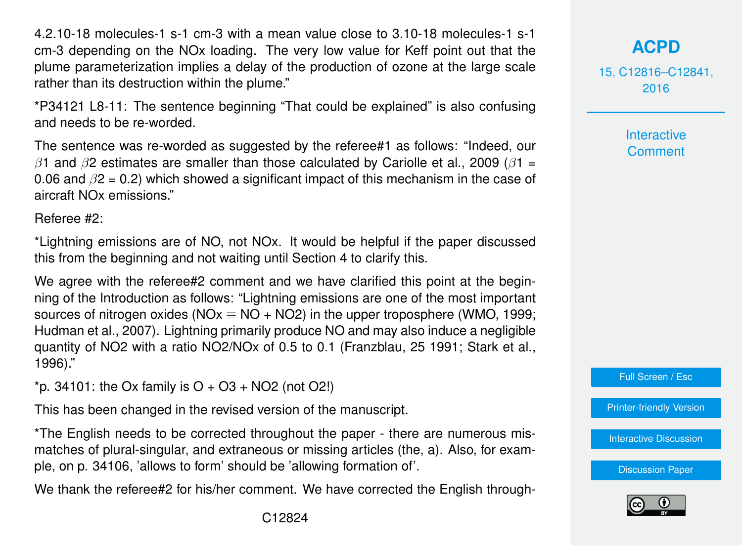4.2.10-18 molecules-1 s-1 cm-3 with a mean value close to 3.10-18 molecules-1 s-1 cm-3 depending on the NOx loading. The very low value for Keff point out that the plume parameterization implies a delay of the production of ozone at the large scale rather than its destruction within the plume."

\*P34121 L8-11: The sentence beginning "That could be explained" is also confusing and needs to be re-worded.

The sentence was re-worded as suggested by the referee#1 as follows: "Indeed, our β1 and β2 estimates are smaller than those calculated by Cariolle et al., 2009 ( $β1 =$ 0.06 and  $\beta$ 2 = 0.2) which showed a significant impact of this mechanism in the case of aircraft NOx emissions."

Referee #2:

\*Lightning emissions are of NO, not NOx. It would be helpful if the paper discussed this from the beginning and not waiting until Section 4 to clarify this.

We agree with the referee#2 comment and we have clarified this point at the beginning of the Introduction as follows: "Lightning emissions are one of the most important sources of nitrogen oxides (NOx  $\equiv$  NO + NO2) in the upper troposphere (WMO, 1999; Hudman et al., 2007). Lightning primarily produce NO and may also induce a negligible quantity of NO2 with a ratio NO2/NOx of 0.5 to 0.1 (Franzblau, 25 1991; Stark et al., 1996)."

 $*$ p. 34101: the Ox family is O + O3 + NO2 (not O2!)

This has been changed in the revised version of the manuscript.

\*The English needs to be corrected throughout the paper - there are numerous mismatches of plural-singular, and extraneous or missing articles (the, a). Also, for example, on p. 34106, 'allows to form' should be 'allowing formation of'.

We thank the referee#2 for his/her comment. We have corrected the English through-

15, C12816–C12841, 2016

> **Interactive Comment**

Full Screen / Esc

[Printer-friendly Version](http://www.atmos-chem-phys-discuss.net/15/C12816/2016/acpd-15-C12816-2016-print.pdf)

**[Interactive Discussion](http://www.atmos-chem-phys-discuss.net/15/34091/2015/acpd-15-34091-2015-discussion.html)** 

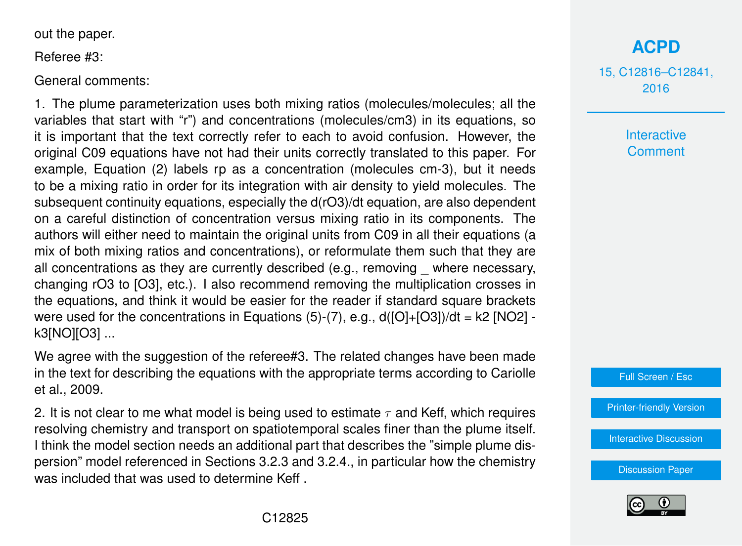out the paper.

Referee #3:

General comments:

1. The plume parameterization uses both mixing ratios (molecules/molecules; all the variables that start with "r") and concentrations (molecules/cm3) in its equations, so it is important that the text correctly refer to each to avoid confusion. However, the original C09 equations have not had their units correctly translated to this paper. For example, Equation (2) labels rp as a concentration (molecules cm-3), but it needs to be a mixing ratio in order for its integration with air density to yield molecules. The subsequent continuity equations, especially the d(rO3)/dt equation, are also dependent on a careful distinction of concentration versus mixing ratio in its components. The authors will either need to maintain the original units from C09 in all their equations (a mix of both mixing ratios and concentrations), or reformulate them such that they are all concentrations as they are currently described (e.g., removing \_ where necessary, changing rO3 to [O3], etc.). I also recommend removing the multiplication crosses in the equations, and think it would be easier for the reader if standard square brackets were used for the concentrations in Equations  $(5)-(7)$ , e.g.,  $d([O]+[O3])/dt = k2$  [NO2] k3[NO][O3] ...

We agree with the suggestion of the referee#3. The related changes have been made in the text for describing the equations with the appropriate terms according to Cariolle et al., 2009.

2. It is not clear to me what model is being used to estimate  $\tau$  and Keff, which requires resolving chemistry and transport on spatiotemporal scales finer than the plume itself. I think the model section needs an additional part that describes the "simple plume dispersion" model referenced in Sections 3.2.3 and 3.2.4., in particular how the chemistry was included that was used to determine Keff .

## **[ACPD](http://www.atmos-chem-phys-discuss.net)**

15, C12816–C12841, 2016

> Interactive **Comment**



[Printer-friendly Version](http://www.atmos-chem-phys-discuss.net/15/C12816/2016/acpd-15-C12816-2016-print.pdf)

[Interactive Discussion](http://www.atmos-chem-phys-discuss.net/15/34091/2015/acpd-15-34091-2015-discussion.html)

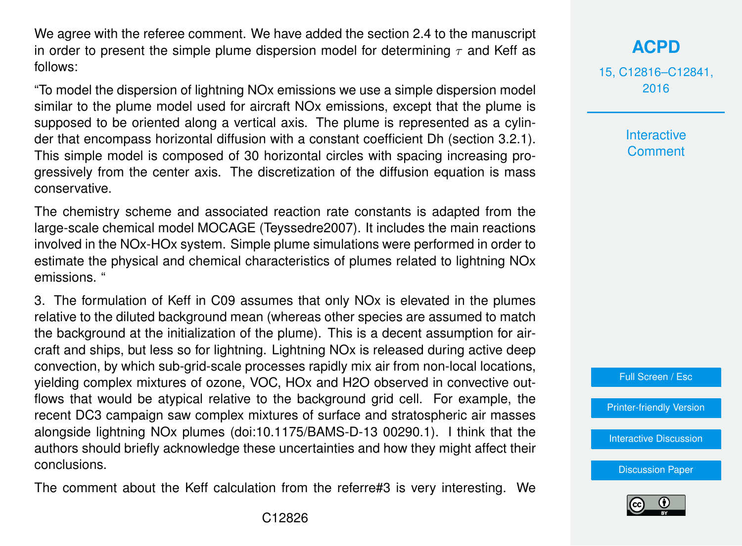We agree with the referee comment. We have added the section 2.4 to the manuscript in order to present the simple plume dispersion model for determining  $\tau$  and Keff as follows:

"To model the dispersion of lightning NOx emissions we use a simple dispersion model similar to the plume model used for aircraft NOx emissions, except that the plume is supposed to be oriented along a vertical axis. The plume is represented as a cylinder that encompass horizontal diffusion with a constant coefficient Dh (section 3.2.1). This simple model is composed of 30 horizontal circles with spacing increasing progressively from the center axis. The discretization of the diffusion equation is mass conservative.

The chemistry scheme and associated reaction rate constants is adapted from the large-scale chemical model MOCAGE (Teyssedre2007). It includes the main reactions involved in the NOx-HOx system. Simple plume simulations were performed in order to estimate the physical and chemical characteristics of plumes related to lightning NOx emissions. "

3. The formulation of Keff in C09 assumes that only NOx is elevated in the plumes relative to the diluted background mean (whereas other species are assumed to match the background at the initialization of the plume). This is a decent assumption for aircraft and ships, but less so for lightning. Lightning NOx is released during active deep convection, by which sub-grid-scale processes rapidly mix air from non-local locations, yielding complex mixtures of ozone, VOC, HOx and H2O observed in convective outflows that would be atypical relative to the background grid cell. For example, the recent DC3 campaign saw complex mixtures of surface and stratospheric air masses alongside lightning NOx plumes (doi:10.1175/BAMS-D-13 00290.1). I think that the authors should briefly acknowledge these uncertainties and how they might affect their conclusions.

The comment about the Keff calculation from the referre#3 is very interesting. We

**[ACPD](http://www.atmos-chem-phys-discuss.net)**

15, C12816–C12841, 2016

> **Interactive Comment**

Full Screen / Esc

[Printer-friendly Version](http://www.atmos-chem-phys-discuss.net/15/C12816/2016/acpd-15-C12816-2016-print.pdf)

[Interactive Discussion](http://www.atmos-chem-phys-discuss.net/15/34091/2015/acpd-15-34091-2015-discussion.html)

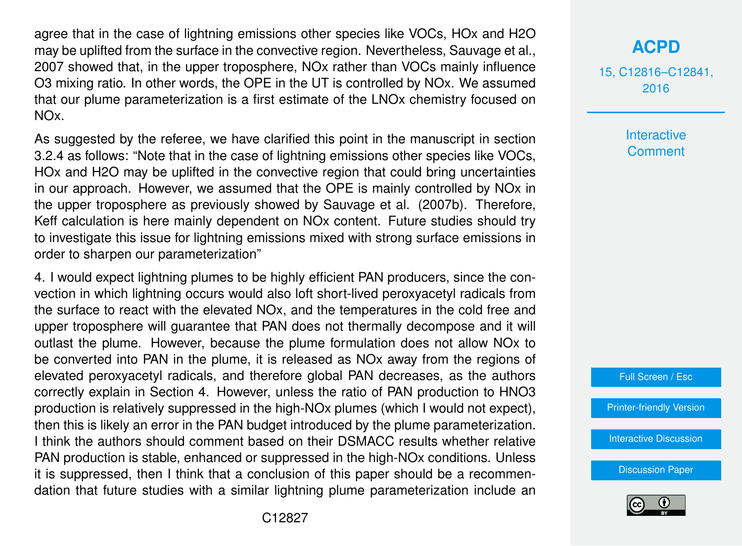agree that in the case of lightning emissions other species like VOCs, HOx and H2O may be uplifted from the surface in the convective region. Nevertheless, Sauvage et al., 2007 showed that, in the upper troposphere, NOx rather than VOCs mainly influence O3 mixing ratio. In other words, the OPE in the UT is controlled by NOx. We assumed that our plume parameterization is a first estimate of the LNOx chemistry focused on NOx.

As suggested by the referee, we have clarified this point in the manuscript in section 3.2.4 as follows: "Note that in the case of lightning emissions other species like VOCs, HOx and H2O may be uplifted in the convective region that could bring uncertainties in our approach. However, we assumed that the OPE is mainly controlled by NOx in the upper troposphere as previously showed by Sauvage et al. (2007b). Therefore, Keff calculation is here mainly dependent on NOx content. Future studies should try to investigate this issue for lightning emissions mixed with strong surface emissions in order to sharpen our parameterization"

4. I would expect lightning plumes to be highly efficient PAN producers, since the convection in which lightning occurs would also loft short-lived peroxyacetyl radicals from the surface to react with the elevated NOx, and the temperatures in the cold free and upper troposphere will guarantee that PAN does not thermally decompose and it will outlast the plume. However, because the plume formulation does not allow NOx to be converted into PAN in the plume, it is released as NOx away from the regions of elevated peroxyacetyl radicals, and therefore global PAN decreases, as the authors correctly explain in Section 4. However, unless the ratio of PAN production to HNO3 production is relatively suppressed in the high-NOx plumes (which I would not expect), then this is likely an error in the PAN budget introduced by the plume parameterization. I think the authors should comment based on their DSMACC results whether relative PAN production is stable, enhanced or suppressed in the high-NOx conditions. Unless it is suppressed, then I think that a conclusion of this paper should be a recommendation that future studies with a similar lightning plume parameterization include an

#### **[ACPD](http://www.atmos-chem-phys-discuss.net)**

15, C12816–C12841, 2016

> **Interactive Comment**



[Printer-friendly Version](http://www.atmos-chem-phys-discuss.net/15/C12816/2016/acpd-15-C12816-2016-print.pdf)

[Interactive Discussion](http://www.atmos-chem-phys-discuss.net/15/34091/2015/acpd-15-34091-2015-discussion.html)

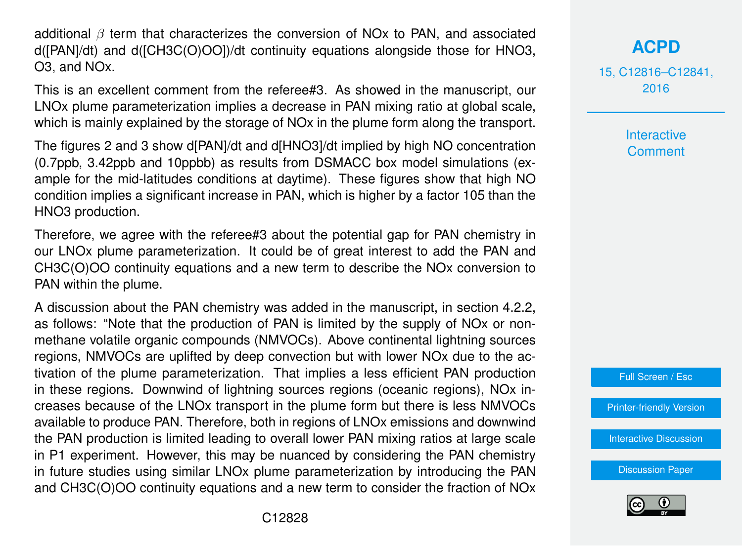additional  $\beta$  term that characterizes the conversion of NOx to PAN, and associated d([PAN]/dt) and d([CH3C(O)OO])/dt continuity equations alongside those for HNO3, O3, and NOx.

This is an excellent comment from the referee#3. As showed in the manuscript, our LNOx plume parameterization implies a decrease in PAN mixing ratio at global scale, which is mainly explained by the storage of NOx in the plume form along the transport.

The figures 2 and 3 show d[PAN]/dt and d[HNO3]/dt implied by high NO concentration (0.7ppb, 3.42ppb and 10ppbb) as results from DSMACC box model simulations (example for the mid-latitudes conditions at daytime). These figures show that high NO condition implies a significant increase in PAN, which is higher by a factor 105 than the HNO3 production.

Therefore, we agree with the referee#3 about the potential gap for PAN chemistry in our LNOx plume parameterization. It could be of great interest to add the PAN and CH3C(O)OO continuity equations and a new term to describe the NOx conversion to PAN within the plume.

A discussion about the PAN chemistry was added in the manuscript, in section 4.2.2, as follows: "Note that the production of PAN is limited by the supply of NOx or nonmethane volatile organic compounds (NMVOCs). Above continental lightning sources regions, NMVOCs are uplifted by deep convection but with lower NOx due to the activation of the plume parameterization. That implies a less efficient PAN production in these regions. Downwind of lightning sources regions (oceanic regions), NOx increases because of the LNOx transport in the plume form but there is less NMVOCs available to produce PAN. Therefore, both in regions of LNOx emissions and downwind the PAN production is limited leading to overall lower PAN mixing ratios at large scale in P1 experiment. However, this may be nuanced by considering the PAN chemistry in future studies using similar LNOx plume parameterization by introducing the PAN and CH3C(O)OO continuity equations and a new term to consider the fraction of NOx 15, C12816–C12841, 2016

> Interactive **Comment**



[Printer-friendly Version](http://www.atmos-chem-phys-discuss.net/15/C12816/2016/acpd-15-C12816-2016-print.pdf)

[Interactive Discussion](http://www.atmos-chem-phys-discuss.net/15/34091/2015/acpd-15-34091-2015-discussion.html)

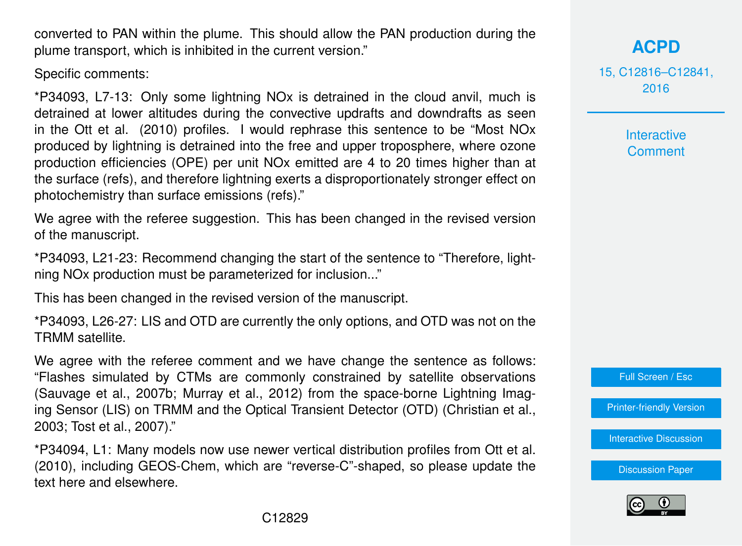converted to PAN within the plume. This should allow the PAN production during the plume transport, which is inhibited in the current version."

Specific comments:

\*P34093, L7-13: Only some lightning NOx is detrained in the cloud anvil, much is detrained at lower altitudes during the convective updrafts and downdrafts as seen in the Ott et al. (2010) profiles. I would rephrase this sentence to be "Most NOx produced by lightning is detrained into the free and upper troposphere, where ozone production efficiencies (OPE) per unit NOx emitted are 4 to 20 times higher than at the surface (refs), and therefore lightning exerts a disproportionately stronger effect on photochemistry than surface emissions (refs)."

We agree with the referee suggestion. This has been changed in the revised version of the manuscript.

\*P34093, L21-23: Recommend changing the start of the sentence to "Therefore, lightning NOx production must be parameterized for inclusion..."

This has been changed in the revised version of the manuscript.

\*P34093, L26-27: LIS and OTD are currently the only options, and OTD was not on the TRMM satellite.

We agree with the referee comment and we have change the sentence as follows: "Flashes simulated by CTMs are commonly constrained by satellite observations (Sauvage et al., 2007b; Murray et al., 2012) from the space-borne Lightning Imaging Sensor (LIS) on TRMM and the Optical Transient Detector (OTD) (Christian et al., 2003; Tost et al., 2007)."

\*P34094, L1: Many models now use newer vertical distribution profiles from Ott et al. (2010), including GEOS-Chem, which are "reverse-C"-shaped, so please update the text here and elsewhere.

### **[ACPD](http://www.atmos-chem-phys-discuss.net)**

15, C12816–C12841, 2016

> Interactive **Comment**

Full Screen / Esc

[Printer-friendly Version](http://www.atmos-chem-phys-discuss.net/15/C12816/2016/acpd-15-C12816-2016-print.pdf)

[Interactive Discussion](http://www.atmos-chem-phys-discuss.net/15/34091/2015/acpd-15-34091-2015-discussion.html)

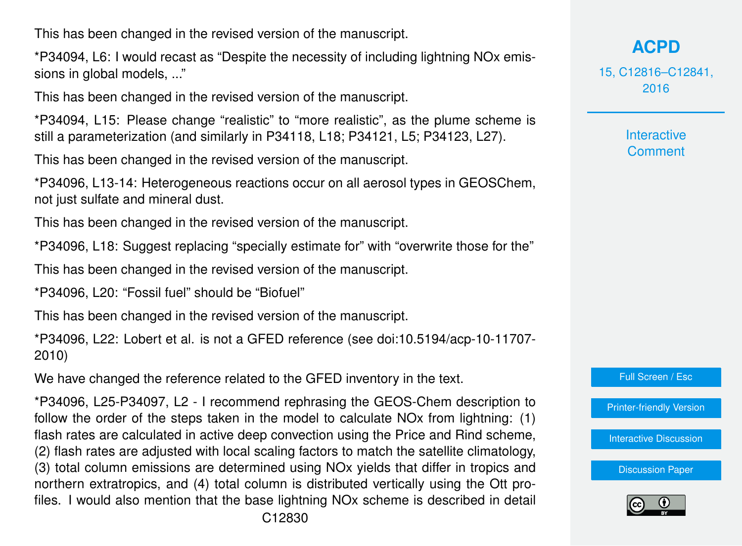This has been changed in the revised version of the manuscript.

\*P34094, L6: I would recast as "Despite the necessity of including lightning NOx emissions in global models, ..."

This has been changed in the revised version of the manuscript.

\*P34094, L15: Please change "realistic" to "more realistic", as the plume scheme is still a parameterization (and similarly in P34118, L18; P34121, L5; P34123, L27).

This has been changed in the revised version of the manuscript.

\*P34096, L13-14: Heterogeneous reactions occur on all aerosol types in GEOSChem, not just sulfate and mineral dust.

This has been changed in the revised version of the manuscript.

\*P34096, L18: Suggest replacing "specially estimate for" with "overwrite those for the"

This has been changed in the revised version of the manuscript.

\*P34096, L20: "Fossil fuel" should be "Biofuel"

This has been changed in the revised version of the manuscript.

\*P34096, L22: Lobert et al. is not a GFED reference (see doi:10.5194/acp-10-11707- 2010)

We have changed the reference related to the GFED inventory in the text.

\*P34096, L25-P34097, L2 - I recommend rephrasing the GEOS-Chem description to follow the order of the steps taken in the model to calculate NOx from lightning: (1) flash rates are calculated in active deep convection using the Price and Rind scheme, (2) flash rates are adjusted with local scaling factors to match the satellite climatology, (3) total column emissions are determined using NOx yields that differ in tropics and northern extratropics, and (4) total column is distributed vertically using the Ott profiles. I would also mention that the base lightning NOx scheme is described in detail 15, C12816–C12841, 2016

> **Interactive Comment**



[Printer-friendly Version](http://www.atmos-chem-phys-discuss.net/15/C12816/2016/acpd-15-C12816-2016-print.pdf)

[Interactive Discussion](http://www.atmos-chem-phys-discuss.net/15/34091/2015/acpd-15-34091-2015-discussion.html)

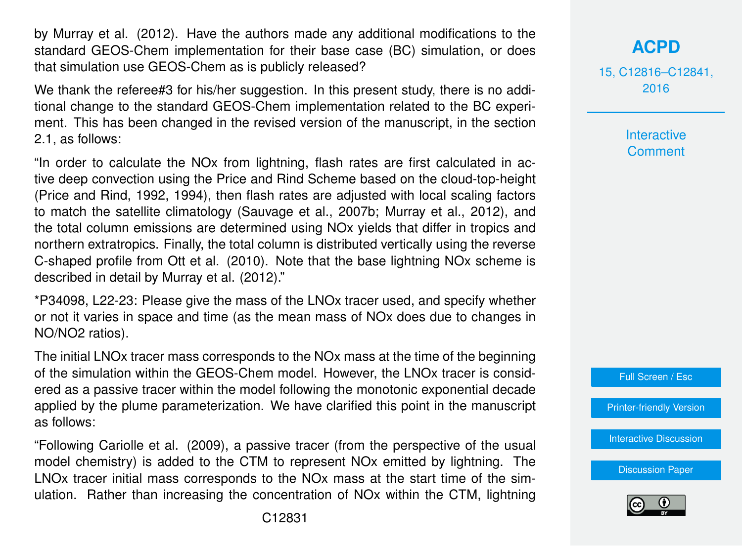by Murray et al. (2012). Have the authors made any additional modifications to the standard GEOS-Chem implementation for their base case (BC) simulation, or does that simulation use GEOS-Chem as is publicly released?

We thank the referee#3 for his/her suggestion. In this present study, there is no additional change to the standard GEOS-Chem implementation related to the BC experiment. This has been changed in the revised version of the manuscript, in the section 2.1, as follows:

"In order to calculate the NOx from lightning, flash rates are first calculated in active deep convection using the Price and Rind Scheme based on the cloud-top-height (Price and Rind, 1992, 1994), then flash rates are adjusted with local scaling factors to match the satellite climatology (Sauvage et al., 2007b; Murray et al., 2012), and the total column emissions are determined using NOx yields that differ in tropics and northern extratropics. Finally, the total column is distributed vertically using the reverse C-shaped profile from Ott et al. (2010). Note that the base lightning NOx scheme is described in detail by Murray et al. (2012)."

\*P34098, L22-23: Please give the mass of the LNOx tracer used, and specify whether or not it varies in space and time (as the mean mass of NOx does due to changes in NO/NO2 ratios).

The initial LNOx tracer mass corresponds to the NOx mass at the time of the beginning of the simulation within the GEOS-Chem model. However, the LNOx tracer is considered as a passive tracer within the model following the monotonic exponential decade applied by the plume parameterization. We have clarified this point in the manuscript as follows:

"Following Cariolle et al. (2009), a passive tracer (from the perspective of the usual model chemistry) is added to the CTM to represent NOx emitted by lightning. The LNOx tracer initial mass corresponds to the NOx mass at the start time of the simulation. Rather than increasing the concentration of NOx within the CTM, lightning 15, C12816–C12841, 2016

> **Interactive Comment**



[Printer-friendly Version](http://www.atmos-chem-phys-discuss.net/15/C12816/2016/acpd-15-C12816-2016-print.pdf)

[Interactive Discussion](http://www.atmos-chem-phys-discuss.net/15/34091/2015/acpd-15-34091-2015-discussion.html)

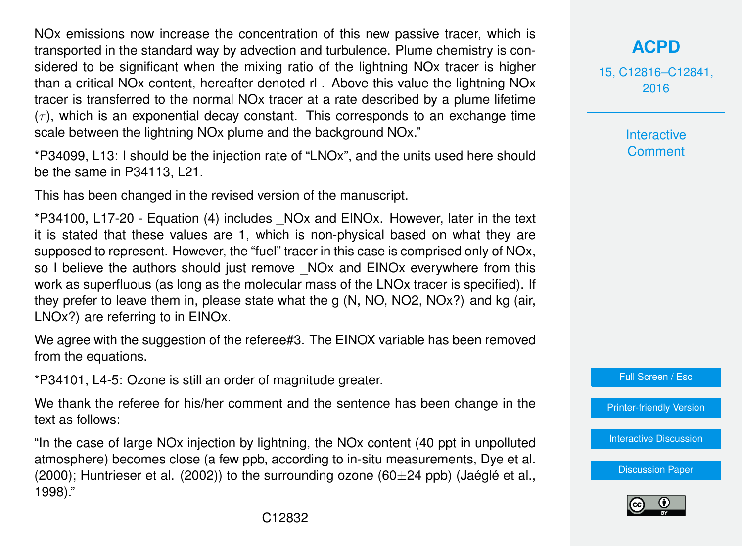NOx emissions now increase the concentration of this new passive tracer, which is transported in the standard way by advection and turbulence. Plume chemistry is considered to be significant when the mixing ratio of the lightning NOx tracer is higher than a critical NOx content, hereafter denoted rl . Above this value the lightning NOx tracer is transferred to the normal NOx tracer at a rate described by a plume lifetime  $(\tau)$ , which is an exponential decay constant. This corresponds to an exchange time scale between the lightning NOx plume and the background NOx."

\*P34099, L13: I should be the injection rate of "LNOx", and the units used here should be the same in P34113, L21.

This has been changed in the revised version of the manuscript.

\*P34100, L17-20 - Equation (4) includes \_NOx and EINOx. However, later in the text it is stated that these values are 1, which is non-physical based on what they are supposed to represent. However, the "fuel" tracer in this case is comprised only of NOx, so I believe the authors should just remove NOx and EINOx everywhere from this work as superfluous (as long as the molecular mass of the LNOx tracer is specified). If they prefer to leave them in, please state what the g (N, NO, NO2, NOx?) and kg (air, LNOx?) are referring to in EINOx.

We agree with the suggestion of the referee#3. The EINOX variable has been removed from the equations.

\*P34101, L4-5: Ozone is still an order of magnitude greater.

We thank the referee for his/her comment and the sentence has been change in the text as follows:

"In the case of large NOx injection by lightning, the NOx content (40 ppt in unpolluted atmosphere) becomes close (a few ppb, according to in-situ measurements, Dye et al. (2000); Huntrieser et al. (2002)) to the surrounding ozone ( $60\pm 24$  ppb) (Jaéglé et al., 1998)."

15, C12816–C12841, 2016

> Interactive **Comment**

Full Screen / Esc

[Printer-friendly Version](http://www.atmos-chem-phys-discuss.net/15/C12816/2016/acpd-15-C12816-2016-print.pdf)

[Interactive Discussion](http://www.atmos-chem-phys-discuss.net/15/34091/2015/acpd-15-34091-2015-discussion.html)

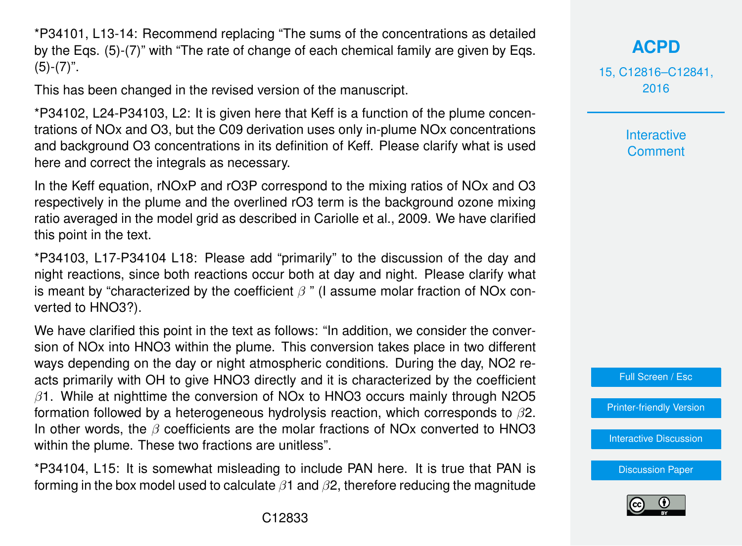\*P34101, L13-14: Recommend replacing "The sums of the concentrations as detailed by the Eqs. (5)-(7)" with "The rate of change of each chemical family are given by Eqs.  $(5)-(7)$ ".

This has been changed in the revised version of the manuscript.

\*P34102, L24-P34103, L2: It is given here that Keff is a function of the plume concentrations of NOx and O3, but the C09 derivation uses only in-plume NOx concentrations and background O3 concentrations in its definition of Keff. Please clarify what is used here and correct the integrals as necessary.

In the Keff equation, rNOxP and rO3P correspond to the mixing ratios of NOx and O3 respectively in the plume and the overlined rO3 term is the background ozone mixing ratio averaged in the model grid as described in Cariolle et al., 2009. We have clarified this point in the text.

\*P34103, L17-P34104 L18: Please add "primarily" to the discussion of the day and night reactions, since both reactions occur both at day and night. Please clarify what is meant by "characterized by the coefficient  $\beta$ " (I assume molar fraction of NOx converted to HNO3?).

We have clarified this point in the text as follows: "In addition, we consider the conversion of NOx into HNO3 within the plume. This conversion takes place in two different ways depending on the day or night atmospheric conditions. During the day, NO2 reacts primarily with OH to give HNO3 directly and it is characterized by the coefficient  $\beta$ 1. While at nighttime the conversion of NOx to HNO3 occurs mainly through N2O5 formation followed by a heterogeneous hydrolysis reaction, which corresponds to  $\beta$ 2. In other words, the  $\beta$  coefficients are the molar fractions of NOx converted to HNO3 within the plume. These two fractions are unitless".

\*P34104, L15: It is somewhat misleading to include PAN here. It is true that PAN is forming in the box model used to calculate  $\beta$ 1 and  $\beta$ 2, therefore reducing the magnitude **[ACPD](http://www.atmos-chem-phys-discuss.net)**

15, C12816–C12841, 2016

> Interactive **Comment**



[Printer-friendly Version](http://www.atmos-chem-phys-discuss.net/15/C12816/2016/acpd-15-C12816-2016-print.pdf)

[Interactive Discussion](http://www.atmos-chem-phys-discuss.net/15/34091/2015/acpd-15-34091-2015-discussion.html)

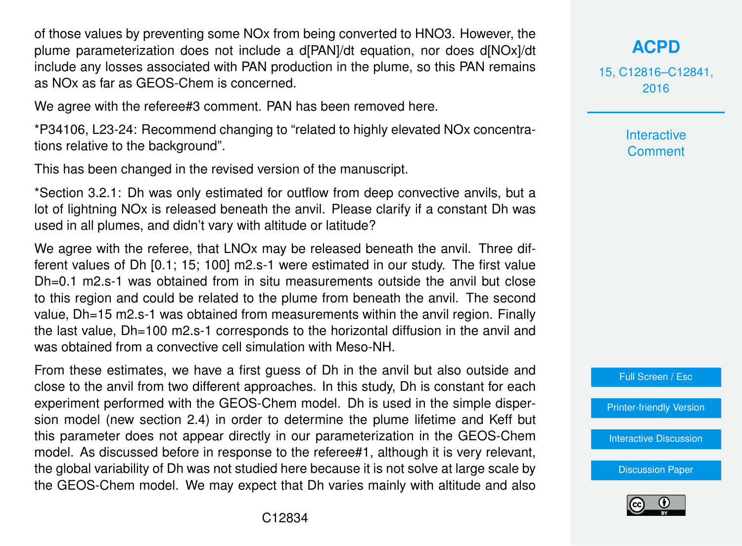of those values by preventing some NOx from being converted to HNO3. However, the plume parameterization does not include a d[PAN]/dt equation, nor does d[NOx]/dt include any losses associated with PAN production in the plume, so this PAN remains as NOx as far as GEOS-Chem is concerned.

We agree with the referee#3 comment. PAN has been removed here.

\*P34106, L23-24: Recommend changing to "related to highly elevated NOx concentrations relative to the background".

This has been changed in the revised version of the manuscript.

\*Section 3.2.1: Dh was only estimated for outflow from deep convective anvils, but a lot of lightning NOx is released beneath the anvil. Please clarify if a constant Dh was used in all plumes, and didn't vary with altitude or latitude?

We agree with the referee, that LNOx may be released beneath the anvil. Three different values of Dh [0.1; 15; 100] m2.s-1 were estimated in our study. The first value Dh=0.1 m2.s-1 was obtained from in situ measurements outside the anvil but close to this region and could be related to the plume from beneath the anvil. The second value, Dh=15 m2.s-1 was obtained from measurements within the anvil region. Finally the last value, Dh=100 m2.s-1 corresponds to the horizontal diffusion in the anvil and was obtained from a convective cell simulation with Meso-NH.

From these estimates, we have a first guess of Dh in the anvil but also outside and close to the anvil from two different approaches. In this study, Dh is constant for each experiment performed with the GEOS-Chem model. Dh is used in the simple dispersion model (new section 2.4) in order to determine the plume lifetime and Keff but this parameter does not appear directly in our parameterization in the GEOS-Chem model. As discussed before in response to the referee#1, although it is very relevant, the global variability of Dh was not studied here because it is not solve at large scale by the GEOS-Chem model. We may expect that Dh varies mainly with altitude and also **[ACPD](http://www.atmos-chem-phys-discuss.net)**

15, C12816–C12841, 2016

> Interactive **Comment**



[Printer-friendly Version](http://www.atmos-chem-phys-discuss.net/15/C12816/2016/acpd-15-C12816-2016-print.pdf)

[Interactive Discussion](http://www.atmos-chem-phys-discuss.net/15/34091/2015/acpd-15-34091-2015-discussion.html)

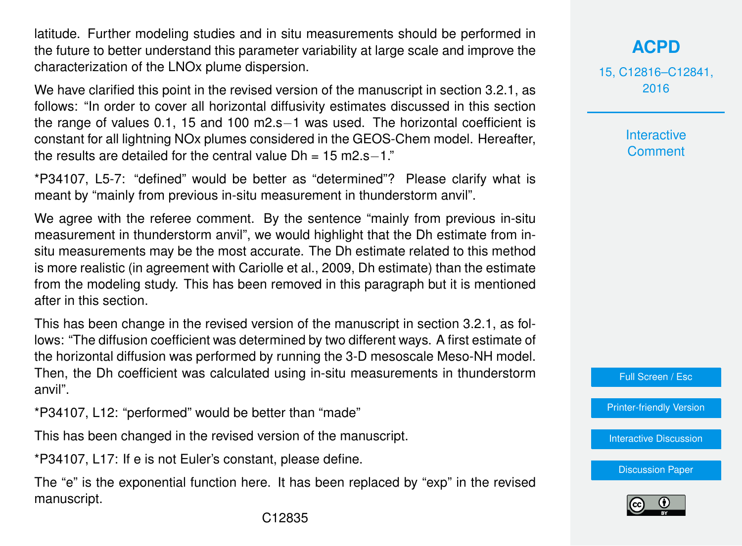latitude. Further modeling studies and in situ measurements should be performed in the future to better understand this parameter variability at large scale and improve the characterization of the LNOx plume dispersion.

We have clarified this point in the revised version of the manuscript in section 3.2.1, as follows: "In order to cover all horizontal diffusivity estimates discussed in this section the range of values 0.1, 15 and 100 m2.s−1 was used. The horizontal coefficient is constant for all lightning NOx plumes considered in the GEOS-Chem model. Hereafter, the results are detailed for the central value  $Dh = 15$  m<sup>2</sup> s−1."

\*P34107, L5-7: "defined" would be better as "determined"? Please clarify what is meant by "mainly from previous in-situ measurement in thunderstorm anvil".

We agree with the referee comment. By the sentence "mainly from previous in-situ measurement in thunderstorm anvil", we would highlight that the Dh estimate from insitu measurements may be the most accurate. The Dh estimate related to this method is more realistic (in agreement with Cariolle et al., 2009, Dh estimate) than the estimate from the modeling study. This has been removed in this paragraph but it is mentioned after in this section.

This has been change in the revised version of the manuscript in section 3.2.1, as follows: "The diffusion coefficient was determined by two different ways. A first estimate of the horizontal diffusion was performed by running the 3-D mesoscale Meso-NH model. Then, the Dh coefficient was calculated using in-situ measurements in thunderstorm anvil".

\*P34107, L12: "performed" would be better than "made"

This has been changed in the revised version of the manuscript.

\*P34107, L17: If e is not Euler's constant, please define.

The "e" is the exponential function here. It has been replaced by "exp" in the revised manuscript.

15, C12816–C12841, 2016

> **Interactive Comment**

Full Screen / Esc

[Printer-friendly Version](http://www.atmos-chem-phys-discuss.net/15/C12816/2016/acpd-15-C12816-2016-print.pdf)

[Interactive Discussion](http://www.atmos-chem-phys-discuss.net/15/34091/2015/acpd-15-34091-2015-discussion.html)

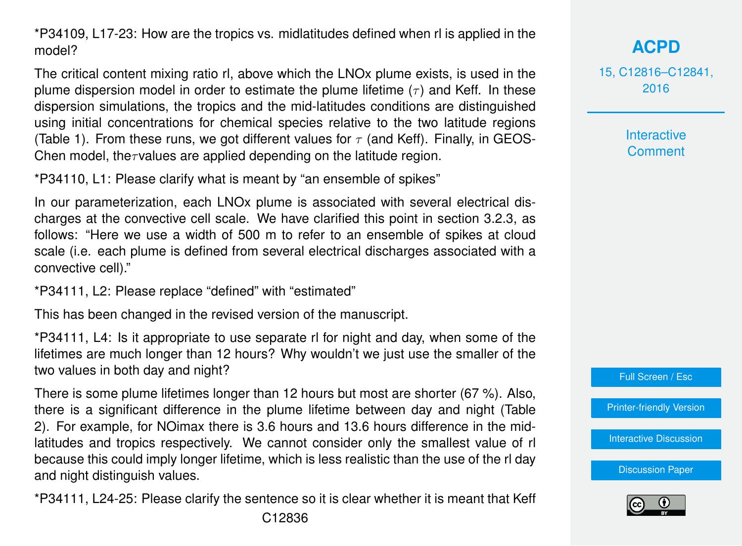\*P34109, L17-23: How are the tropics vs. midlatitudes defined when rl is applied in the model?

The critical content mixing ratio rl, above which the LNOx plume exists, is used in the plume dispersion model in order to estimate the plume lifetime  $(\tau)$  and Keff. In these dispersion simulations, the tropics and the mid-latitudes conditions are distinguished using initial concentrations for chemical species relative to the two latitude regions (Table 1). From these runs, we got different values for  $\tau$  (and Keff). Finally, in GEOS-Chen model, the $\tau$ values are applied depending on the latitude region.

\*P34110, L1: Please clarify what is meant by "an ensemble of spikes"

In our parameterization, each LNOx plume is associated with several electrical discharges at the convective cell scale. We have clarified this point in section 3.2.3, as follows: "Here we use a width of 500 m to refer to an ensemble of spikes at cloud scale (i.e. each plume is defined from several electrical discharges associated with a convective cell)."

\*P34111, L2: Please replace "defined" with "estimated"

This has been changed in the revised version of the manuscript.

\*P34111, L4: Is it appropriate to use separate rl for night and day, when some of the lifetimes are much longer than 12 hours? Why wouldn't we just use the smaller of the two values in both day and night?

There is some plume lifetimes longer than 12 hours but most are shorter (67 %). Also, there is a significant difference in the plume lifetime between day and night (Table 2). For example, for NOimax there is 3.6 hours and 13.6 hours difference in the midlatitudes and tropics respectively. We cannot consider only the smallest value of rl because this could imply longer lifetime, which is less realistic than the use of the rl day and night distinguish values.

\*P34111, L24-25: Please clarify the sentence so it is clear whether it is meant that Keff

**[ACPD](http://www.atmos-chem-phys-discuss.net)**

15, C12816–C12841, 2016

> **Interactive Comment**



[Printer-friendly Version](http://www.atmos-chem-phys-discuss.net/15/C12816/2016/acpd-15-C12816-2016-print.pdf)

[Interactive Discussion](http://www.atmos-chem-phys-discuss.net/15/34091/2015/acpd-15-34091-2015-discussion.html)

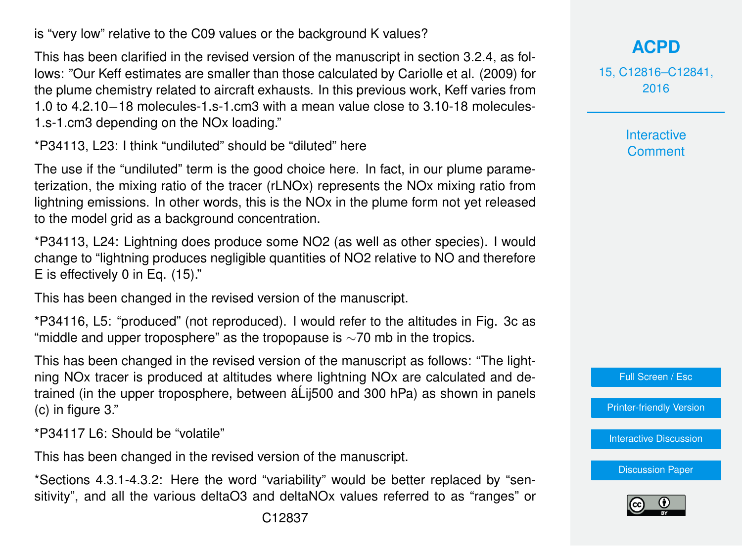is "very low" relative to the C09 values or the background K values?

This has been clarified in the revised version of the manuscript in section 3.2.4, as follows: "Our Keff estimates are smaller than those calculated by Cariolle et al. (2009) for the plume chemistry related to aircraft exhausts. In this previous work, Keff varies from 1.0 to 4.2.10−18 molecules-1.s-1.cm3 with a mean value close to 3.10-18 molecules-1.s-1.cm3 depending on the NOx loading."

\*P34113, L23: I think "undiluted" should be "diluted" here

The use if the "undiluted" term is the good choice here. In fact, in our plume parameterization, the mixing ratio of the tracer (rLNOx) represents the NOx mixing ratio from lightning emissions. In other words, this is the NOx in the plume form not yet released to the model grid as a background concentration.

\*P34113, L24: Lightning does produce some NO2 (as well as other species). I would change to "lightning produces negligible quantities of NO2 relative to NO and therefore E is effectively 0 in Eq. (15)."

This has been changed in the revised version of the manuscript.

\*P34116, L5: "produced" (not reproduced). I would refer to the altitudes in Fig. 3c as "middle and upper troposphere" as the tropopause is  $\sim$ 70 mb in the tropics.

This has been changed in the revised version of the manuscript as follows: "The lightning NOx tracer is produced at altitudes where lightning NOx are calculated and detrained (in the upper troposphere, between â Lij500 and 300 hPa) as shown in panels (c) in figure 3."

\*P34117 L6: Should be "volatile"

This has been changed in the revised version of the manuscript.

\*Sections 4.3.1-4.3.2: Here the word "variability" would be better replaced by "sensitivity", and all the various deltaO3 and deltaNOx values referred to as "ranges" or

## **[ACPD](http://www.atmos-chem-phys-discuss.net)**

15, C12816–C12841, 2016

> **Interactive Comment**



[Printer-friendly Version](http://www.atmos-chem-phys-discuss.net/15/C12816/2016/acpd-15-C12816-2016-print.pdf)

[Interactive Discussion](http://www.atmos-chem-phys-discuss.net/15/34091/2015/acpd-15-34091-2015-discussion.html)

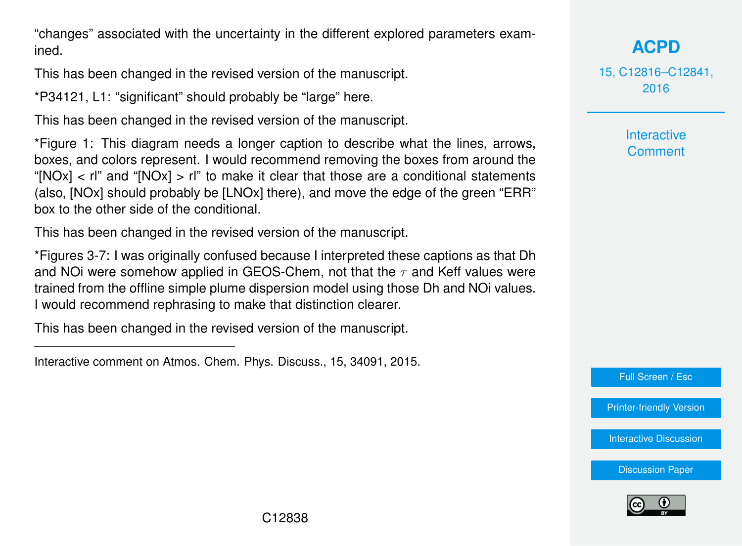"changes" associated with the uncertainty in the different explored parameters examined.

This has been changed in the revised version of the manuscript.

\*P34121, L1: "significant" should probably be "large" here.

This has been changed in the revised version of the manuscript.

\*Figure 1: This diagram needs a longer caption to describe what the lines, arrows, boxes, and colors represent. I would recommend removing the boxes from around the "[NOx] < rl" and "[NOx] > rl" to make it clear that those are a conditional statements (also, [NOx] should probably be [LNOx] there), and move the edge of the green "ERR" box to the other side of the conditional.

This has been changed in the revised version of the manuscript.

\*Figures 3-7: I was originally confused because I interpreted these captions as that Dh and NOi were somehow applied in GEOS-Chem, not that the  $\tau$  and Keff values were trained from the offline simple plume dispersion model using those Dh and NOi values. I would recommend rephrasing to make that distinction clearer.

This has been changed in the revised version of the manuscript.

**[ACPD](http://www.atmos-chem-phys-discuss.net)**

15, C12816–C12841, 2016

> Interactive **Comment**

Full Screen / Esc

[Printer-friendly Version](http://www.atmos-chem-phys-discuss.net/15/C12816/2016/acpd-15-C12816-2016-print.pdf)

[Interactive Discussion](http://www.atmos-chem-phys-discuss.net/15/34091/2015/acpd-15-34091-2015-discussion.html)



Interactive comment on Atmos. Chem. Phys. Discuss., 15, 34091, 2015.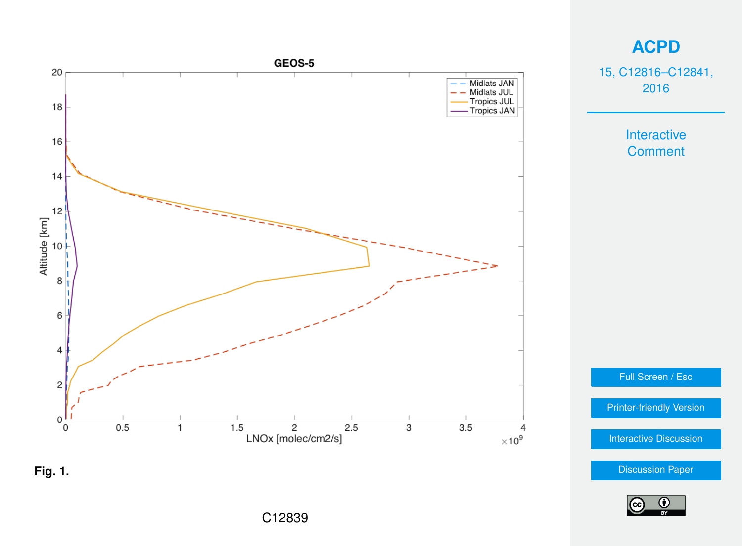

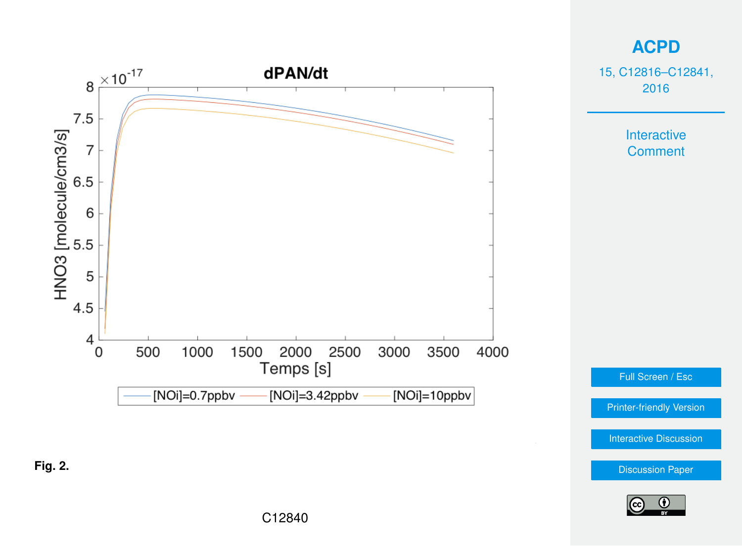